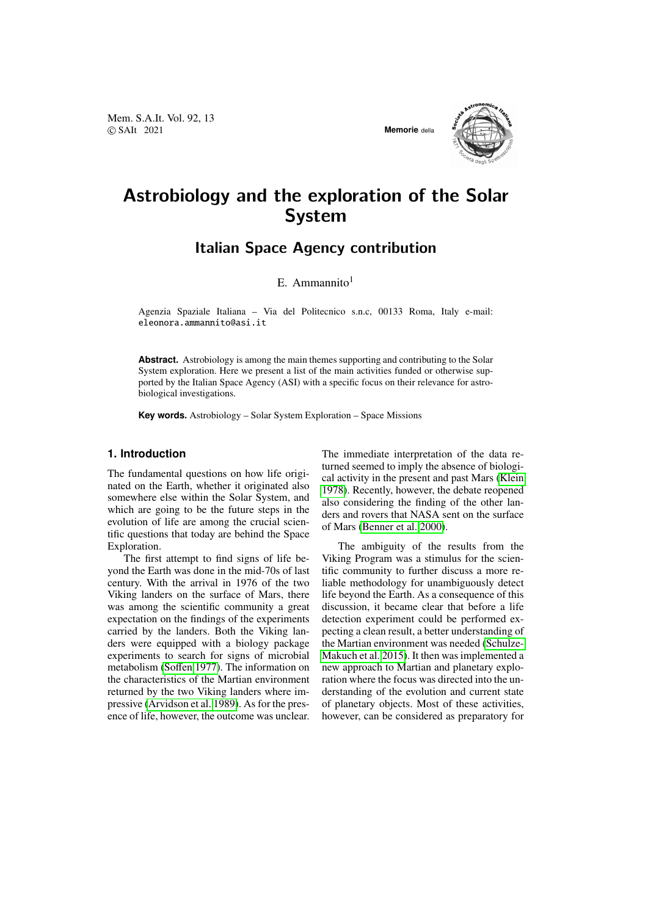Mem. S.A.It. Vol. 92, 13 © SAIt 2021 **Memorie** della



# Astrobiology and the exploration of the Solar System

# Italian Space Agency contribution

# E. Ammannito $1$

Agenzia Spaziale Italiana – Via del Politecnico s.n.c, 00133 Roma, Italy e-mail: eleonora.ammannito@asi.it

**Abstract.** Astrobiology is among the main themes supporting and contributing to the Solar System exploration. Here we present a list of the main activities funded or otherwise supported by the Italian Space Agency (ASI) with a specific focus on their relevance for astrobiological investigations.

**Key words.** Astrobiology – Solar System Exploration – Space Missions

# **1. Introduction**

The fundamental questions on how life originated on the Earth, whether it originated also somewhere else within the Solar System, and which are going to be the future steps in the evolution of life are among the crucial scientific questions that today are behind the Space Exploration.

The first attempt to find signs of life beyond the Earth was done in the mid-70s of last century. With the arrival in 1976 of the two Viking landers on the surface of Mars, there was among the scientific community a great expectation on the findings of the experiments carried by the landers. Both the Viking landers were equipped with a biology package experiments to search for signs of microbial metabolism [\(So](#page-7-0)ffen [1977\)](#page-7-0). The information on the characteristics of the Martian environment returned by the two Viking landers where impressive [\(Arvidson et al. 1989\)](#page-7-1). As for the presence of life, however, the outcome was unclear. The immediate interpretation of the data returned seemed to imply the absence of biological activity in the present and past Mars [\(Klein](#page-7-2) [1978\)](#page-7-2). Recently, however, the debate reopened also considering the finding of the other landers and rovers that NASA sent on the surface of Mars [\(Benner et al. 2000\)](#page-7-3).

The ambiguity of the results from the Viking Program was a stimulus for the scientific community to further discuss a more reliable methodology for unambiguously detect life beyond the Earth. As a consequence of this discussion, it became clear that before a life detection experiment could be performed expecting a clean result, a better understanding of the Martian environment was needed [\(Schulze-](#page-7-4)[Makuch et al. 2015\)](#page-7-4). It then was implemented a new approach to Martian and planetary exploration where the focus was directed into the understanding of the evolution and current state of planetary objects. Most of these activities, however, can be considered as preparatory for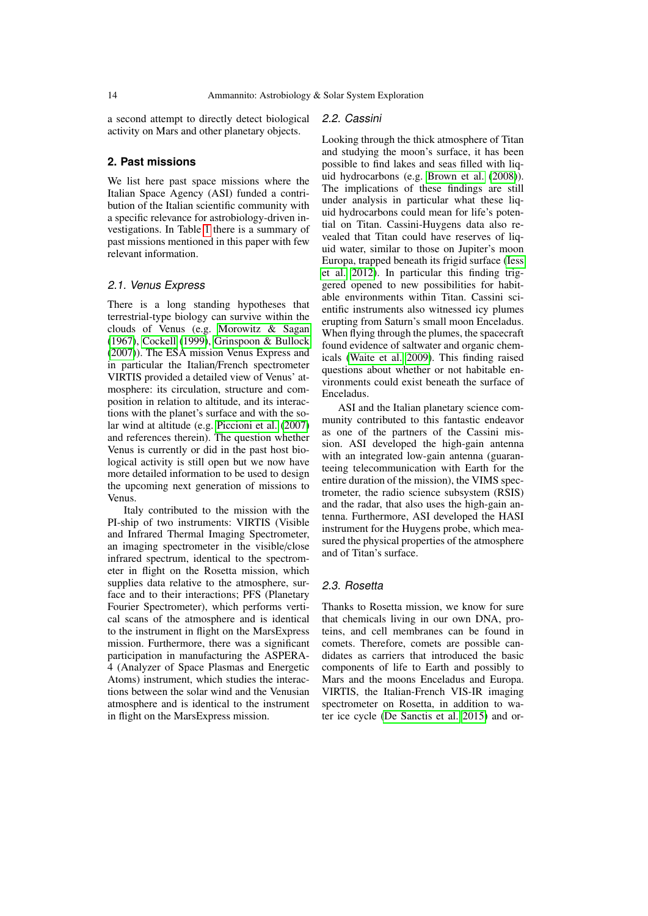a second attempt to directly detect biological activity on Mars and other planetary objects.

## **2. Past missions**

We list here past space missions where the Italian Space Agency (ASI) funded a contribution of the Italian scientific community with a specific relevance for astrobiology-driven investigations. In Table [1](#page-2-0) there is a summary of past missions mentioned in this paper with few relevant information.

#### 2.1. Venus Express

There is a long standing hypotheses that terrestrial-type biology can survive within the clouds of Venus (e.g. [Morowitz & Sagan](#page-7-5) [\(1967\)](#page-7-5), [Cockell](#page-7-6) [\(1999\)](#page-7-6), [Grinspoon & Bullock](#page-7-7) [\(2007\)](#page-7-7)). The ESA mission Venus Express and in particular the Italian/French spectrometer VIRTIS provided a detailed view of Venus' atmosphere: its circulation, structure and composition in relation to altitude, and its interactions with the planet's surface and with the solar wind at altitude (e.g. [Piccioni et al.](#page-7-8) [\(2007\)](#page-7-8) and references therein). The question whether Venus is currently or did in the past host biological activity is still open but we now have more detailed information to be used to design the upcoming next generation of missions to Venus.

Italy contributed to the mission with the PI-ship of two instruments: VIRTIS (Visible and Infrared Thermal Imaging Spectrometer, an imaging spectrometer in the visible/close infrared spectrum, identical to the spectrometer in flight on the Rosetta mission, which supplies data relative to the atmosphere, surface and to their interactions; PFS (Planetary Fourier Spectrometer), which performs vertical scans of the atmosphere and is identical to the instrument in flight on the MarsExpress mission. Furthermore, there was a significant participation in manufacturing the ASPERA-4 (Analyzer of Space Plasmas and Energetic Atoms) instrument, which studies the interactions between the solar wind and the Venusian atmosphere and is identical to the instrument in flight on the MarsExpress mission.

#### 2.2. Cassini

Looking through the thick atmosphere of Titan and studying the moon's surface, it has been possible to find lakes and seas filled with liquid hydrocarbons (e.g. [Brown et al.](#page-7-9) [\(2008\)](#page-7-9)). The implications of these findings are still under analysis in particular what these liquid hydrocarbons could mean for life's potential on Titan. Cassini-Huygens data also revealed that Titan could have reserves of liquid water, similar to those on Jupiter's moon Europa, trapped beneath its frigid surface [\(Iess](#page-7-10) [et al. 2012\)](#page-7-10). In particular this finding triggered opened to new possibilities for habitable environments within Titan. Cassini scientific instruments also witnessed icy plumes erupting from Saturn's small moon Enceladus. When flying through the plumes, the spacecraft found evidence of saltwater and organic chemicals [\(Waite et al. 2009\)](#page-7-11). This finding raised questions about whether or not habitable environments could exist beneath the surface of Enceladus.

ASI and the Italian planetary science community contributed to this fantastic endeavor as one of the partners of the Cassini mission. ASI developed the high-gain antenna with an integrated low-gain antenna (guaranteeing telecommunication with Earth for the entire duration of the mission), the VIMS spectrometer, the radio science subsystem (RSIS) and the radar, that also uses the high-gain antenna. Furthermore, ASI developed the HASI instrument for the Huygens probe, which measured the physical properties of the atmosphere and of Titan's surface.

#### 2.3. Rosetta

Thanks to Rosetta mission, we know for sure that chemicals living in our own DNA, proteins, and cell membranes can be found in comets. Therefore, comets are possible candidates as carriers that introduced the basic components of life to Earth and possibly to Mars and the moons Enceladus and Europa. VIRTIS, the Italian-French VIS-IR imaging spectrometer on Rosetta, in addition to water ice cycle [\(De Sanctis et al. 2015\)](#page-7-12) and or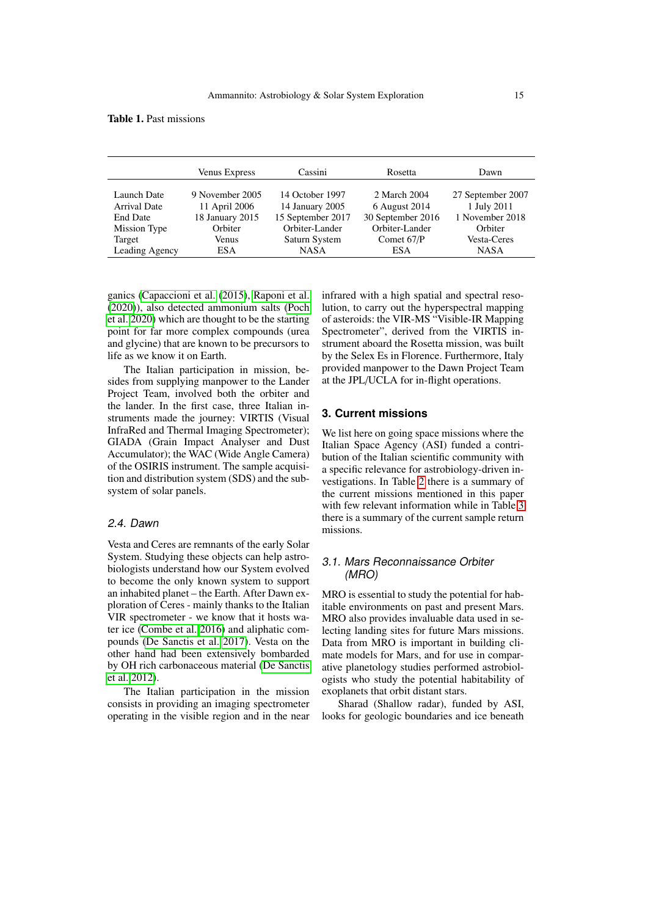<span id="page-2-0"></span>Table 1. Past missions

|                     | <b>Venus Express</b> | Cassini           | Rosetta           | Dawn              |
|---------------------|----------------------|-------------------|-------------------|-------------------|
| Launch Date         | 9 November 2005      | 14 October 1997   | 2 March 2004      | 27 September 2007 |
| <b>Arrival Date</b> | 11 April 2006        | 14 January 2005   | 6 August 2014     | 1 July 2011       |
| <b>End Date</b>     | 18 January 2015      | 15 September 2017 | 30 September 2016 | 1 November 2018   |
| Mission Type        | Orbiter              | Orbiter-Lander    | Orbiter-Lander    | Orbiter           |
| Target              | Venus                | Saturn System     | Comet 67/P        | Vesta-Ceres       |
| Leading Agency      | ESA.                 | <b>NASA</b>       | <b>ESA</b>        | <b>NASA</b>       |

ganics [\(Capaccioni et al.](#page-7-13) [\(2015\)](#page-7-13), [Raponi et al.](#page-7-14) [\(2020\)](#page-7-14)), also detected ammonium salts [\(Poch](#page-7-15) [et al. 2020\)](#page-7-15) which are thought to be the starting point for far more complex compounds (urea and glycine) that are known to be precursors to life as we know it on Earth.

The Italian participation in mission, besides from supplying manpower to the Lander Project Team, involved both the orbiter and the lander. In the first case, three Italian instruments made the journey: VIRTIS (Visual InfraRed and Thermal Imaging Spectrometer); GIADA (Grain Impact Analyser and Dust Accumulator); the WAC (Wide Angle Camera) of the OSIRIS instrument. The sample acquisition and distribution system (SDS) and the subsystem of solar panels.

#### 2.4. Dawn

Vesta and Ceres are remnants of the early Solar System. Studying these objects can help astrobiologists understand how our System evolved to become the only known system to support an inhabited planet – the Earth. After Dawn exploration of Ceres - mainly thanks to the Italian VIR spectrometer - we know that it hosts water ice [\(Combe et al. 2016\)](#page-7-16) and aliphatic compounds [\(De Sanctis et al. 2017\)](#page-7-17). Vesta on the other hand had been extensively bombarded by OH rich carbonaceous material [\(De Sanctis](#page-7-18) [et al. 2012\)](#page-7-18).

The Italian participation in the mission consists in providing an imaging spectrometer operating in the visible region and in the near infrared with a high spatial and spectral resolution, to carry out the hyperspectral mapping of asteroids: the VIR-MS "Visible-IR Mapping Spectrometer", derived from the VIRTIS instrument aboard the Rosetta mission, was built by the Selex Es in Florence. Furthermore, Italy provided manpower to the Dawn Project Team at the JPL/UCLA for in-flight operations.

# **3. Current missions**

We list here on going space missions where the Italian Space Agency (ASI) funded a contribution of the Italian scientific community with a specific relevance for astrobiology-driven investigations. In Table [2](#page-3-0) there is a summary of the current missions mentioned in this paper with few relevant information while in Table [3](#page-3-1) there is a summary of the current sample return missions.

#### 3.1. Mars Reconnaissance Orbiter (MRO)

MRO is essential to study the potential for habitable environments on past and present Mars. MRO also provides invaluable data used in selecting landing sites for future Mars missions. Data from MRO is important in building climate models for Mars, and for use in comparative planetology studies performed astrobiologists who study the potential habitability of exoplanets that orbit distant stars.

Sharad (Shallow radar), funded by ASI, looks for geologic boundaries and ice beneath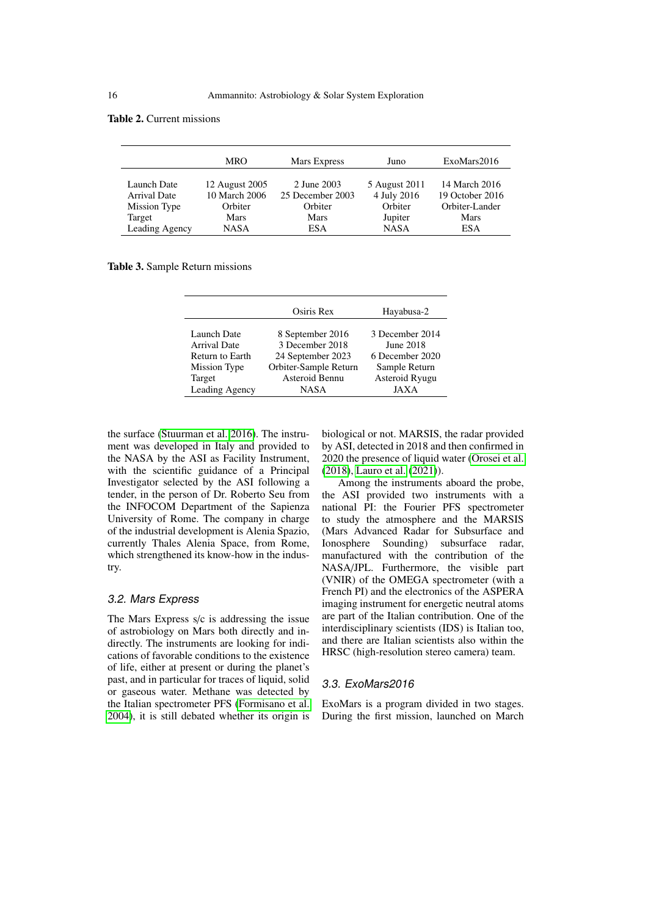#### <span id="page-3-0"></span>Table 2. Current missions

|                | <b>MRO</b>     | Mars Express     | Juno          | ExoMars2016     |
|----------------|----------------|------------------|---------------|-----------------|
| Launch Date    | 12 August 2005 | 2 June 2003      | 5 August 2011 | 14 March 2016   |
| Arrival Date   | 10 March 2006  | 25 December 2003 | 4 July 2016   | 19 October 2016 |
| Mission Type   | Orbiter        | Orbiter          | Orbiter       | Orbiter-Lander  |
| Target         | Mars           | Mars             | Jupiter       | Mars            |
| Leading Agency | <b>NASA</b>    | ESA              | <b>NASA</b>   | <b>ESA</b>      |

<span id="page-3-1"></span>Table 3. Sample Return missions

|                     | Osiris Rex            | Hayabusa-2      |  |
|---------------------|-----------------------|-----------------|--|
| Launch Date         | 8 September 2016      | 3 December 2014 |  |
| <b>Arrival Date</b> | 3 December 2018       | June 2018       |  |
| Return to Earth     | 24 September 2023     | 6 December 2020 |  |
| Mission Type        | Orbiter-Sample Return | Sample Return   |  |
| Target              | Asteroid Bennu        | Asteroid Ryugu  |  |
| Leading Agency      | <b>NASA</b>           | JAXA            |  |

the surface [\(Stuurman et al. 2016\)](#page-7-19). The instrument was developed in Italy and provided to the NASA by the ASI as Facility Instrument, with the scientific guidance of a Principal Investigator selected by the ASI following a tender, in the person of Dr. Roberto Seu from the INFOCOM Department of the Sapienza University of Rome. The company in charge of the industrial development is Alenia Spazio, currently Thales Alenia Space, from Rome, which strengthened its know-how in the industry.

#### 3.2. Mars Express

The Mars Express s/c is addressing the issue of astrobiology on Mars both directly and indirectly. The instruments are looking for indications of favorable conditions to the existence of life, either at present or during the planet's past, and in particular for traces of liquid, solid or gaseous water. Methane was detected by the Italian spectrometer PFS [\(Formisano et al.](#page-7-20) [2004\)](#page-7-20), it is still debated whether its origin is biological or not. MARSIS, the radar provided by ASI, detected in 2018 and then confirmed in 2020 the presence of liquid water [\(Orosei et al.](#page-7-21) [\(2018\)](#page-7-21), [Lauro et al.](#page-7-22) [\(2021\)](#page-7-22)).

Among the instruments aboard the probe, the ASI provided two instruments with a national PI: the Fourier PFS spectrometer to study the atmosphere and the MARSIS (Mars Advanced Radar for Subsurface and<br>Ionosphere Sounding) subsurface radar. subsurface radar, manufactured with the contribution of the NASA/JPL. Furthermore, the visible part (VNIR) of the OMEGA spectrometer (with a French PI) and the electronics of the ASPERA imaging instrument for energetic neutral atoms are part of the Italian contribution. One of the interdisciplinary scientists (IDS) is Italian too, and there are Italian scientists also within the HRSC (high-resolution stereo camera) team.

## 3.3. ExoMars2016

ExoMars is a program divided in two stages. During the first mission, launched on March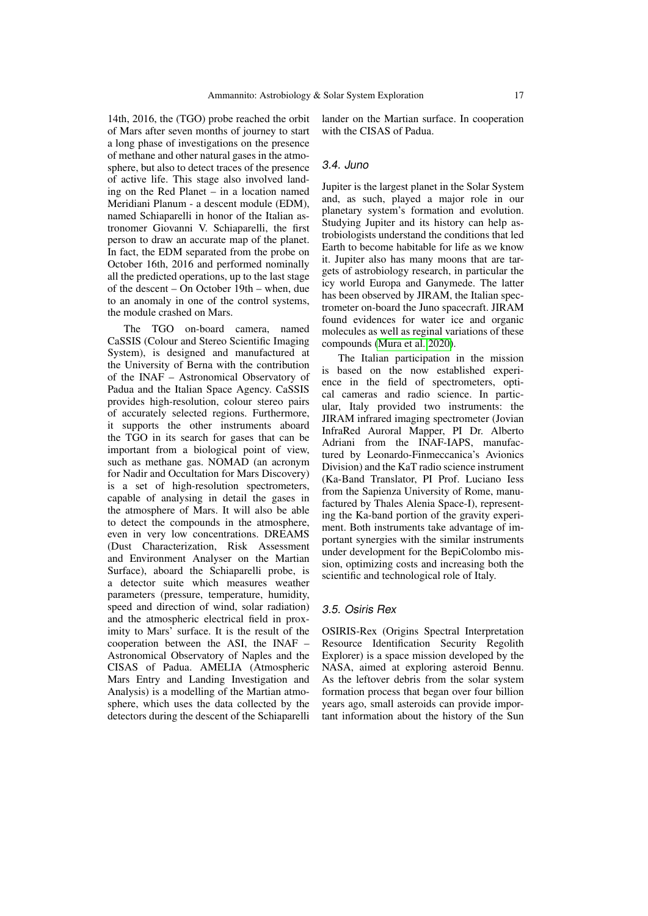14th, 2016, the (TGO) probe reached the orbit of Mars after seven months of journey to start a long phase of investigations on the presence of methane and other natural gases in the atmosphere, but also to detect traces of the presence of active life. This stage also involved landing on the Red Planet – in a location named Meridiani Planum - a descent module (EDM), named Schiaparelli in honor of the Italian astronomer Giovanni V. Schiaparelli, the first person to draw an accurate map of the planet. In fact, the EDM separated from the probe on October 16th, 2016 and performed nominally all the predicted operations, up to the last stage of the descent – On October 19th – when, due to an anomaly in one of the control systems, the module crashed on Mars.

The TGO on-board camera, named CaSSIS (Colour and Stereo Scientific Imaging System), is designed and manufactured at the University of Berna with the contribution of the INAF – Astronomical Observatory of Padua and the Italian Space Agency. CaSSIS provides high-resolution, colour stereo pairs of accurately selected regions. Furthermore, it supports the other instruments aboard the TGO in its search for gases that can be important from a biological point of view, such as methane gas. NOMAD (an acronym for Nadir and Occultation for Mars Discovery) is a set of high-resolution spectrometers, capable of analysing in detail the gases in the atmosphere of Mars. It will also be able to detect the compounds in the atmosphere, even in very low concentrations. DREAMS (Dust Characterization, Risk Assessment and Environment Analyser on the Martian Surface), aboard the Schiaparelli probe, is a detector suite which measures weather parameters (pressure, temperature, humidity, speed and direction of wind, solar radiation) and the atmospheric electrical field in proximity to Mars' surface. It is the result of the cooperation between the ASI, the INAF – Astronomical Observatory of Naples and the CISAS of Padua. AMELIA (Atmospheric Mars Entry and Landing Investigation and Analysis) is a modelling of the Martian atmosphere, which uses the data collected by the detectors during the descent of the Schiaparelli lander on the Martian surface. In cooperation with the CISAS of Padua.

#### 3.4. Juno

Jupiter is the largest planet in the Solar System and, as such, played a major role in our planetary system's formation and evolution. Studying Jupiter and its history can help astrobiologists understand the conditions that led Earth to become habitable for life as we know it. Jupiter also has many moons that are targets of astrobiology research, in particular the icy world Europa and Ganymede. The latter has been observed by JIRAM, the Italian spectrometer on-board the Juno spacecraft. JIRAM found evidences for water ice and organic molecules as well as reginal variations of these compounds [\(Mura et al. 2020\)](#page-7-23).

The Italian participation in the mission is based on the now established experience in the field of spectrometers, optical cameras and radio science. In particular, Italy provided two instruments: the JIRAM infrared imaging spectrometer (Jovian InfraRed Auroral Mapper, PI Dr. Alberto Adriani from the INAF-IAPS, manufactured by Leonardo-Finmeccanica's Avionics Division) and the KaT radio science instrument (Ka-Band Translator, PI Prof. Luciano Iess from the Sapienza University of Rome, manufactured by Thales Alenia Space-I), representing the Ka-band portion of the gravity experiment. Both instruments take advantage of important synergies with the similar instruments under development for the BepiColombo mission, optimizing costs and increasing both the scientific and technological role of Italy.

#### 3.5. Osiris Rex

OSIRIS-Rex (Origins Spectral Interpretation Resource Identification Security Regolith Explorer) is a space mission developed by the NASA, aimed at exploring asteroid Bennu. As the leftover debris from the solar system formation process that began over four billion years ago, small asteroids can provide important information about the history of the Sun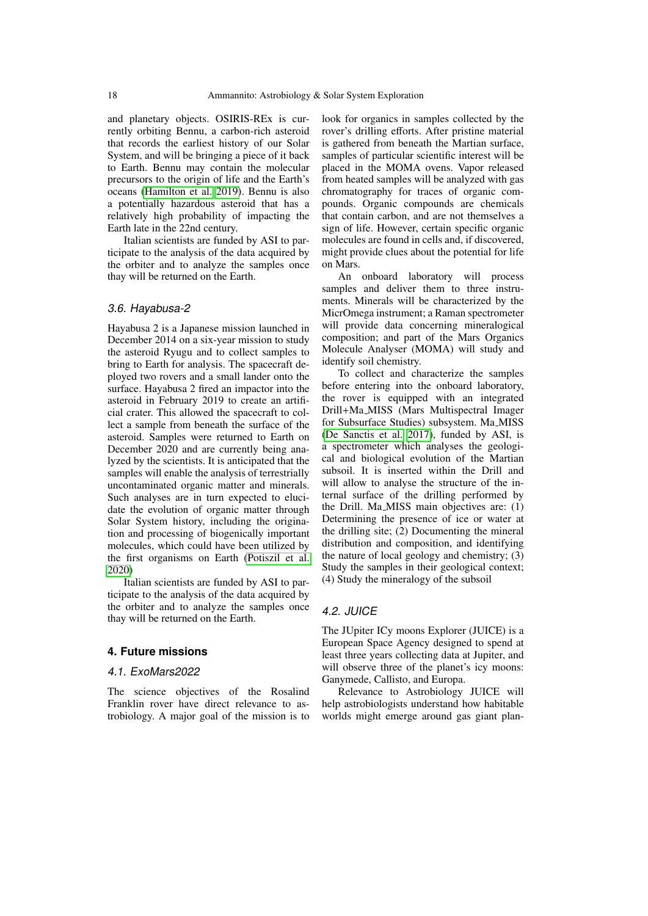and planetary objects. OSIRIS-REx is currently orbiting Bennu, a carbon-rich asteroid that records the earliest history of our Solar System, and will be bringing a piece of it back to Earth. Bennu may contain the molecular precursors to the origin of life and the Earth's oceans [\(Hamilton et al. 2019\)](#page-7-24). Bennu is also a potentially hazardous asteroid that has a relatively high probability of impacting the Earth late in the 22nd century.

Italian scientists are funded by ASI to participate to the analysis of the data acquired by the orbiter and to analyze the samples once thay will be returned on the Earth.

## 3.6. Hayabusa-2

Hayabusa 2 is a Japanese mission launched in December 2014 on a six-year mission to study the asteroid Ryugu and to collect samples to bring to Earth for analysis. The spacecraft deployed two rovers and a small lander onto the surface. Hayabusa 2 fired an impactor into the asteroid in February 2019 to create an artificial crater. This allowed the spacecraft to collect a sample from beneath the surface of the asteroid. Samples were returned to Earth on December 2020 and are currently being analyzed by the scientists. It is anticipated that the samples will enable the analysis of terrestrially uncontaminated organic matter and minerals. Such analyses are in turn expected to elucidate the evolution of organic matter through Solar System history, including the origination and processing of biogenically important molecules, which could have been utilized by the first organisms on Earth [\(Potiszil et al.](#page-7-25) [2020\)](#page-7-25)

Italian scientists are funded by ASI to participate to the analysis of the data acquired by the orbiter and to analyze the samples once thay will be returned on the Earth.

# **4. Future missions**

#### 4.1. ExoMars2022

The science objectives of the Rosalind Franklin rover have direct relevance to astrobiology. A major goal of the mission is to look for organics in samples collected by the rover's drilling efforts. After pristine material is gathered from beneath the Martian surface, samples of particular scientific interest will be placed in the MOMA ovens. Vapor released from heated samples will be analyzed with gas chromatography for traces of organic compounds. Organic compounds are chemicals that contain carbon, and are not themselves a sign of life. However, certain specific organic molecules are found in cells and, if discovered, might provide clues about the potential for life on Mars.

An onboard laboratory will process samples and deliver them to three instruments. Minerals will be characterized by the MicrOmega instrument; a Raman spectrometer will provide data concerning mineralogical composition; and part of the Mars Organics Molecule Analyser (MOMA) will study and identify soil chemistry.

To collect and characterize the samples before entering into the onboard laboratory, the rover is equipped with an integrated Drill+Ma MISS (Mars Multispectral Imager for Subsurface Studies) subsystem. Ma MISS [\(De Sanctis et al. 2017\)](#page-7-26), funded by ASI, is a spectrometer which analyses the geological and biological evolution of the Martian subsoil. It is inserted within the Drill and will allow to analyse the structure of the internal surface of the drilling performed by the Drill. Ma\_MISS main objectives are: (1) Determining the presence of ice or water at the drilling site; (2) Documenting the mineral distribution and composition, and identifying the nature of local geology and chemistry; (3) Study the samples in their geological context; (4) Study the mineralogy of the subsoil

# 4.2. JUICE

The JUpiter ICy moons Explorer (JUICE) is a European Space Agency designed to spend at least three years collecting data at Jupiter, and will observe three of the planet's icy moons: Ganymede, Callisto, and Europa.

Relevance to Astrobiology JUICE will help astrobiologists understand how habitable worlds might emerge around gas giant plan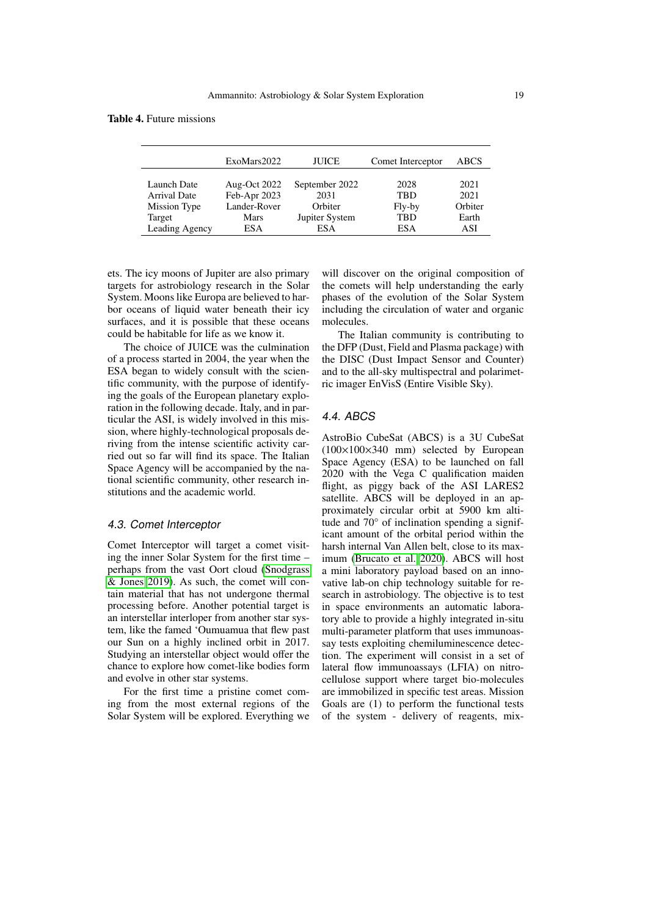Table 4. Future missions

|                                             | ExoMars2022                                  | <b>JUICE</b>                      | Comet Interceptor            | ABCS                    |
|---------------------------------------------|----------------------------------------------|-----------------------------------|------------------------------|-------------------------|
| Launch Date<br>Arrival Date<br>Mission Type | Aug-Oct 2022<br>Feb-Apr 2023<br>Lander-Rover | September 2022<br>2031<br>Orbiter | 2028<br><b>TRD</b><br>Fly-by | 2021<br>2021<br>Orbiter |
| Target                                      | Mars                                         | Jupiter System                    | <b>TBD</b>                   | Earth                   |
| Leading Agency                              | ESA                                          | ES A                              | <b>ESA</b>                   | ASI                     |

ets. The icy moons of Jupiter are also primary targets for astrobiology research in the Solar System. Moons like Europa are believed to harbor oceans of liquid water beneath their icy surfaces, and it is possible that these oceans could be habitable for life as we know it.

The choice of JUICE was the culmination of a process started in 2004, the year when the ESA began to widely consult with the scientific community, with the purpose of identifying the goals of the European planetary exploration in the following decade. Italy, and in particular the ASI, is widely involved in this mission, where highly-technological proposals deriving from the intense scientific activity carried out so far will find its space. The Italian Space Agency will be accompanied by the national scientific community, other research institutions and the academic world.

#### 4.3. Comet Interceptor

Comet Interceptor will target a comet visiting the inner Solar System for the first time – perhaps from the vast Oort cloud [\(Snodgrass](#page-7-27) [& Jones 2019\)](#page-7-27). As such, the comet will contain material that has not undergone thermal processing before. Another potential target is an interstellar interloper from another star system, like the famed 'Oumuamua that flew past our Sun on a highly inclined orbit in 2017. Studying an interstellar object would offer the chance to explore how comet-like bodies form and evolve in other star systems.

For the first time a pristine comet coming from the most external regions of the Solar System will be explored. Everything we will discover on the original composition of the comets will help understanding the early phases of the evolution of the Solar System including the circulation of water and organic molecules.

The Italian community is contributing to the DFP (Dust, Field and Plasma package) with the DISC (Dust Impact Sensor and Counter) and to the all-sky multispectral and polarimetric imager EnVisS (Entire Visible Sky).

# 4.4. ABCS

AstroBio CubeSat (ABCS) is a 3U CubeSat (100×100×340 mm) selected by European Space Agency (ESA) to be launched on fall 2020 with the Vega C qualification maiden flight, as piggy back of the ASI LARES2 satellite. ABCS will be deployed in an approximately circular orbit at 5900 km altitude and 70° of inclination spending a significant amount of the orbital period within the harsh internal Van Allen belt, close to its maximum [\(Brucato et al. 2020\)](#page-7-28). ABCS will host a mini laboratory payload based on an innovative lab-on chip technology suitable for research in astrobiology. The objective is to test in space environments an automatic laboratory able to provide a highly integrated in-situ multi-parameter platform that uses immunoassay tests exploiting chemiluminescence detection. The experiment will consist in a set of lateral flow immunoassays (LFIA) on nitrocellulose support where target bio-molecules are immobilized in specific test areas. Mission Goals are (1) to perform the functional tests of the system - delivery of reagents, mix